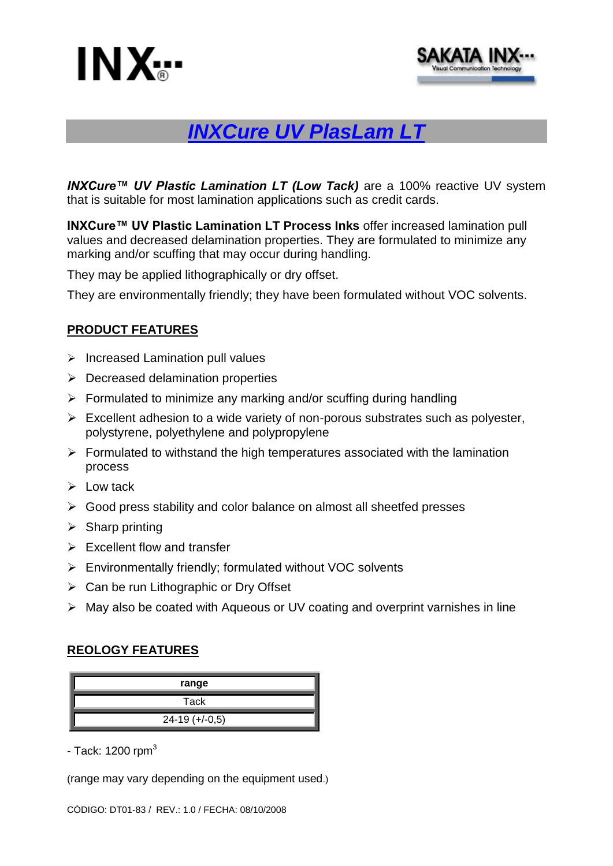



# *INXCure UV PlasLam LT*

*INXCure™ UV Plastic Lamination LT (Low Tack)* are a 100% reactive UV system that is suitable for most lamination applications such as credit cards.

**INXCure™ UV Plastic Lamination LT Process Inks** offer increased lamination pull values and decreased delamination properties. They are formulated to minimize any marking and/or scuffing that may occur during handling.

They may be applied lithographically or dry offset.

They are environmentally friendly; they have been formulated without VOC solvents.

### **PRODUCT FEATURES**

- $\triangleright$  Increased Lamination pull values
- $\triangleright$  Decreased delamination properties
- $\triangleright$  Formulated to minimize any marking and/or scuffing during handling
- $\triangleright$  Excellent adhesion to a wide variety of non-porous substrates such as polyester, polystyrene, polyethylene and polypropylene
- $\triangleright$  Formulated to withstand the high temperatures associated with the lamination process
- $\triangleright$  Low tack
- Good press stability and color balance on almost all sheetfed presses
- $\triangleright$  Sharp printing
- $\triangleright$  Excellent flow and transfer
- $\triangleright$  Environmentally friendly; formulated without VOC solvents
- $\triangleright$  Can be run Lithographic or Dry Offset
- May also be coated with Aqueous or UV coating and overprint varnishes in line

#### **REOLOGY FEATURES**

| range            |
|------------------|
| Tack             |
| $24-19 (+/-0,5)$ |

- Tack:  $1200$  rpm<sup>3</sup>

(range may vary depending on the equipment used.)